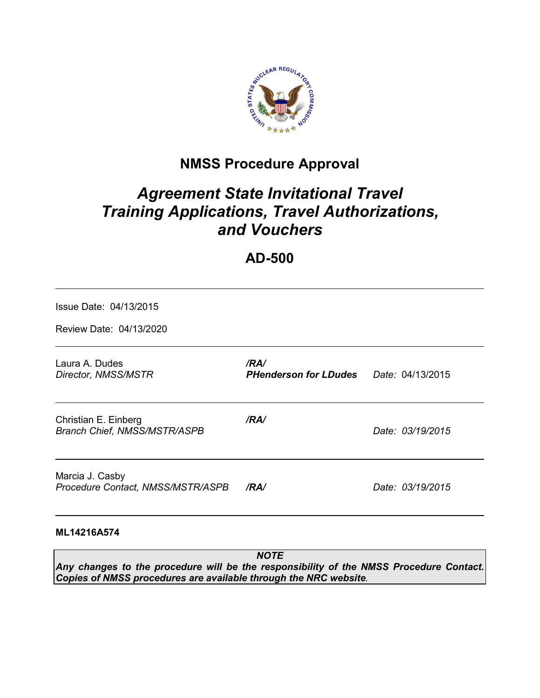

## **NMSS Procedure Approval**

# *Agreement State Invitational Travel Training Applications, Travel Authorizations, and Vouchers*

## **AD-500**

| Issue Date: 04/13/2015                                      |                                                       |                  |
|-------------------------------------------------------------|-------------------------------------------------------|------------------|
| Review Date: 04/13/2020                                     |                                                       |                  |
| Laura A. Dudes<br>Director, NMSS/MSTR                       | /RA/<br><b>PHenderson for LDudes</b> Date: 04/13/2015 |                  |
| Christian E. Einberg<br><b>Branch Chief, NMSS/MSTR/ASPB</b> | /RA/                                                  | Date: 03/19/2015 |
| Marcia J. Casby<br>Procedure Contact, NMSS/MSTR/ASPB        | /RA/                                                  | Date: 03/19/2015 |
| ML14216A574                                                 |                                                       |                  |
|                                                             | <b>NOTE</b>                                           |                  |

*Any changes to the procedure will be the responsibility of the NMSS Procedure Contact. Copies of NMSS procedures are available through the NRC website.*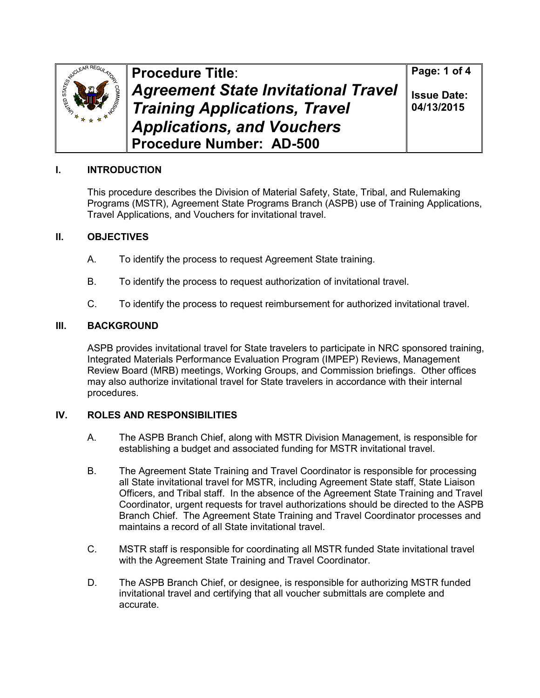

**Procedure Title**: *Agreement State Invitational Travel Training Applications, Travel Applications, and Vouchers* **Procedure Number: AD-500**

**Page: 1 of 4**

**Issue Date: 04/13/2015**

## **I. INTRODUCTION**

This procedure describes the Division of Material Safety, State, Tribal, and Rulemaking Programs (MSTR), Agreement State Programs Branch (ASPB) use of Training Applications, Travel Applications, and Vouchers for invitational travel.

## **II. OBJECTIVES**

- A. To identify the process to request Agreement State training.
- B. To identify the process to request authorization of invitational travel.
- C. To identify the process to request reimbursement for authorized invitational travel.

### **III. BACKGROUND**

ASPB provides invitational travel for State travelers to participate in NRC sponsored training, Integrated Materials Performance Evaluation Program (IMPEP) Reviews, Management Review Board (MRB) meetings, Working Groups, and Commission briefings. Other offices may also authorize invitational travel for State travelers in accordance with their internal procedures.

## **IV. ROLES AND RESPONSIBILITIES**

- A. The ASPB Branch Chief, along with MSTR Division Management, is responsible for establishing a budget and associated funding for MSTR invitational travel.
- B. The Agreement State Training and Travel Coordinator is responsible for processing all State invitational travel for MSTR, including Agreement State staff, State Liaison Officers, and Tribal staff. In the absence of the Agreement State Training and Travel Coordinator, urgent requests for travel authorizations should be directed to the ASPB Branch Chief. The Agreement State Training and Travel Coordinator processes and maintains a record of all State invitational travel.
- C. MSTR staff is responsible for coordinating all MSTR funded State invitational travel with the Agreement State Training and Travel Coordinator.
- D. The ASPB Branch Chief, or designee, is responsible for authorizing MSTR funded invitational travel and certifying that all voucher submittals are complete and accurate.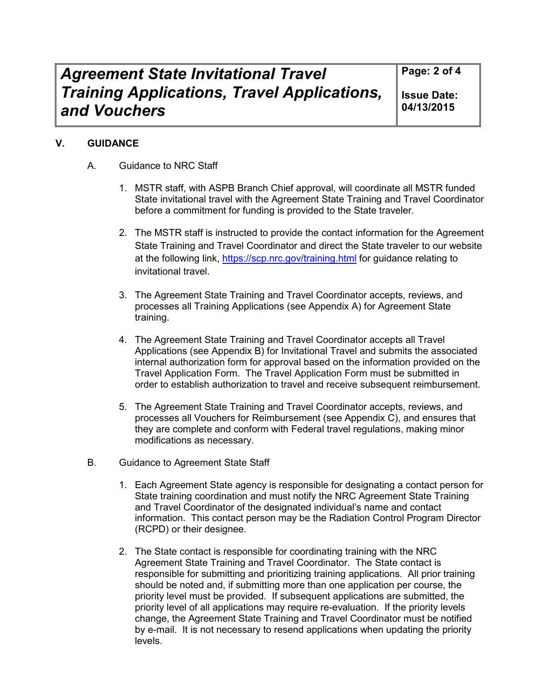**Page: 2 of 4**

**Issue Date: 04/13/2015**

## **V. GUIDANCE**

- A. Guidance to NRC Staff
	- 1. MSTR staff, with ASPB Branch Chief approval, will coordinate all MSTR funded State invitational travel with the Agreement State Training and Travel Coordinator before a commitment for funding is provided to the State traveler.
	- 2. The MSTR staff is instructed to provide the contact information for the Agreement State Training and Travel Coordinator and direct the State traveler to our website at the following link, https://scp.nrc.gov/training.html for guidance relating to invitational travel.
	- 3. The Agreement State Training and Travel Coordinator accepts, reviews, and processes all Training Applications (see Appendix A) for Agreement State training.
	- 4. The Agreement State Training and Travel Coordinator accepts all Travel Applications (see Appendix B) for Invitational Travel and submits the associated internal authorization form for approval based on the information provided on the Travel Application Form. The Travel Application Form must be submitted in order to establish authorization to travel and receive subsequent reimbursement.
	- 5. The Agreement State Training and Travel Coordinator accepts, reviews, and processes all Vouchers for Reimbursement (see Appendix C), and ensures that they are complete and conform with Federal travel regulations, making minor modifications as necessary.
- B. Guidance to Agreement State Staff
	- 1. Each Agreement State agency is responsible for designating a contact person for State training coordination and must notify the NRC Agreement State Training and Travel Coordinator of the designated individual's name and contact information. This contact person may be the Radiation Control Program Director (RCPD) or their designee.
	- 2. The State contact is responsible for coordinating training with the NRC Agreement State Training and Travel Coordinator. The State contact is responsible for submitting and prioritizing training applications. All prior training should be noted and, if submitting more than one application per course, the priority level must be provided. If subsequent applications are submitted, the priority level of all applications may require re-evaluation. If the priority levels change, the Agreement State Training and Travel Coordinator must be notified by e-mail. It is not necessary to resend applications when updating the priority levels.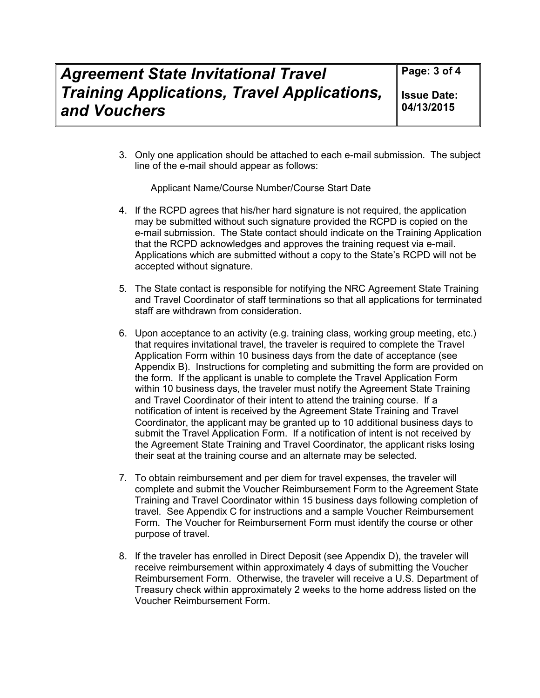**Issue Date: 04/13/2015**

3. Only one application should be attached to each e-mail submission. The subject line of the e-mail should appear as follows:

Applicant Name/Course Number/Course Start Date

- 4. If the RCPD agrees that his/her hard signature is not required, the application may be submitted without such signature provided the RCPD is copied on the e-mail submission. The State contact should indicate on the Training Application that the RCPD acknowledges and approves the training request via e-mail. Applications which are submitted without a copy to the State's RCPD will not be accepted without signature.
- 5. The State contact is responsible for notifying the NRC Agreement State Training and Travel Coordinator of staff terminations so that all applications for terminated staff are withdrawn from consideration.
- 6. Upon acceptance to an activity (e.g. training class, working group meeting, etc.) that requires invitational travel, the traveler is required to complete the Travel Application Form within 10 business days from the date of acceptance (see Appendix B). Instructions for completing and submitting the form are provided on the form. If the applicant is unable to complete the Travel Application Form within 10 business days, the traveler must notify the Agreement State Training and Travel Coordinator of their intent to attend the training course. If a notification of intent is received by the Agreement State Training and Travel Coordinator, the applicant may be granted up to 10 additional business days to submit the Travel Application Form. If a notification of intent is not received by the Agreement State Training and Travel Coordinator, the applicant risks losing their seat at the training course and an alternate may be selected.
- 7. To obtain reimbursement and per diem for travel expenses, the traveler will complete and submit the Voucher Reimbursement Form to the Agreement State Training and Travel Coordinator within 15 business days following completion of travel. See Appendix C for instructions and a sample Voucher Reimbursement Form. The Voucher for Reimbursement Form must identify the course or other purpose of travel.
- 8. If the traveler has enrolled in Direct Deposit (see Appendix D), the traveler will receive reimbursement within approximately 4 days of submitting the Voucher Reimbursement Form. Otherwise, the traveler will receive a U.S. Department of Treasury check within approximately 2 weeks to the home address listed on the Voucher Reimbursement Form.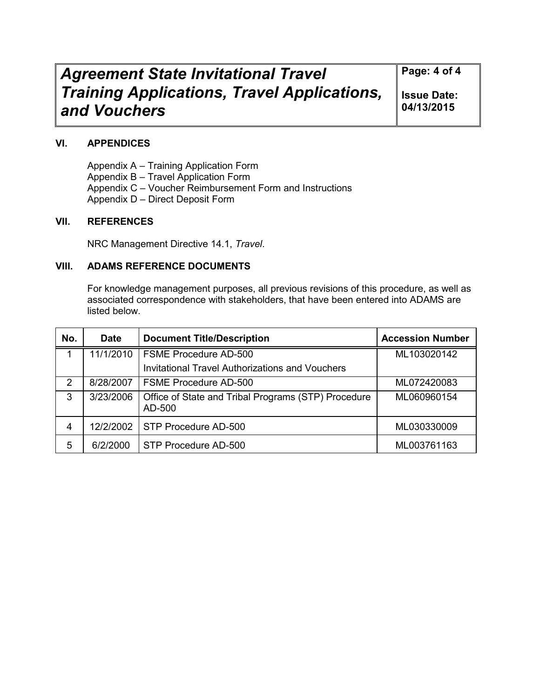# *Agreement State Invitational Travel Training Applications, Travel Applications, and Vouchers*

**Page: 4 of 4**

**Issue Date: 04/13/2015**

#### **VI. APPENDICES**

Appendix A – Training Application Form Appendix B – Travel Application Form Appendix C – Voucher Reimbursement Form and Instructions Appendix D – Direct Deposit Form

#### **VII. REFERENCES**

NRC Management Directive 14.1, *Travel*.

#### **VIII. ADAMS REFERENCE DOCUMENTS**

For knowledge management purposes, all previous revisions of this procedure, as well as associated correspondence with stakeholders, that have been entered into ADAMS are listed below.

| No. | <b>Date</b> | <b>Document Title/Description</b>                             | <b>Accession Number</b> |
|-----|-------------|---------------------------------------------------------------|-------------------------|
|     | 11/1/2010   | <b>FSME Procedure AD-500</b>                                  | ML103020142             |
|     |             | <b>Invitational Travel Authorizations and Vouchers</b>        |                         |
| 2   | 8/28/2007   | <b>FSME Procedure AD-500</b>                                  | ML072420083             |
| 3   | 3/23/2006   | Office of State and Tribal Programs (STP) Procedure<br>AD-500 | ML060960154             |
| 4   | 12/2/2002   | STP Procedure AD-500                                          | ML030330009             |
| 5   | 6/2/2000    | STP Procedure AD-500                                          | ML003761163             |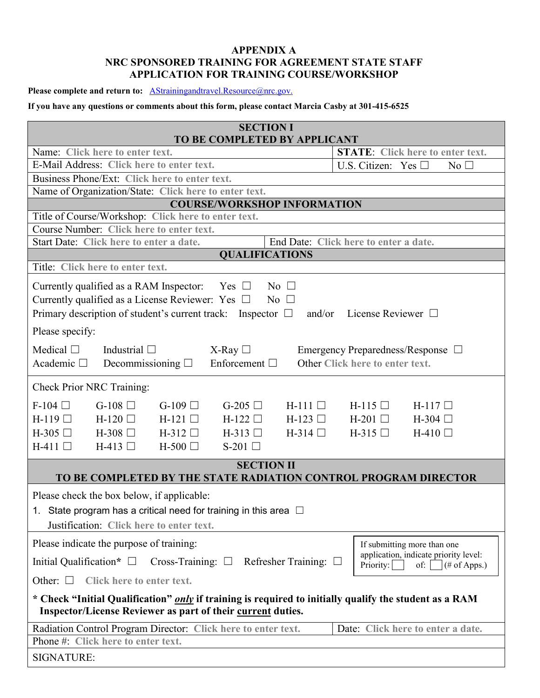#### **APPENDIX A NRC SPONSORED TRAINING FOR AGREEMENT STATE STAFF APPLICATION FOR TRAINING COURSE/WORKSHOP**

Please complete and return to: **AStrainingandtravel.Resource@nrc.gov.** 

#### **If you have any questions or comments about this form, please contact Marcia Casby at 301-415-6525**

| <b>SECTION I</b><br>TO BE COMPLETED BY APPLICANT                                                                                                                             |                                                |
|------------------------------------------------------------------------------------------------------------------------------------------------------------------------------|------------------------------------------------|
| Name: Click here to enter text.                                                                                                                                              | <b>STATE:</b> Click here to enter text.        |
| E-Mail Address: Click here to enter text.                                                                                                                                    | U.S. Citizen: Yes $\square$<br>No <sub>1</sub> |
| Business Phone/Ext: Click here to enter text.                                                                                                                                |                                                |
| Name of Organization/State: Click here to enter text.                                                                                                                        |                                                |
| <b>COURSE/WORKSHOP INFORMATION</b>                                                                                                                                           |                                                |
| Title of Course/Workshop: Click here to enter text.                                                                                                                          |                                                |
| Course Number: Click here to enter text.                                                                                                                                     |                                                |
| Start Date: Click here to enter a date.                                                                                                                                      | End Date: Click here to enter a date.          |
| <b>QUALIFICATIONS</b><br>Title: Click here to enter text.                                                                                                                    |                                                |
|                                                                                                                                                                              |                                                |
| Currently qualified as a RAM Inspector:<br>$Yes \Box$<br>$\overline{N_0}$ $\Box$                                                                                             |                                                |
| Currently qualified as a License Reviewer: Yes $\Box$<br>$No \square$                                                                                                        |                                                |
| Primary description of student's current track: Inspector $\Box$<br>and/or                                                                                                   | License Reviewer $\Box$                        |
| Please specify:                                                                                                                                                              |                                                |
| Medical $\square$<br>Industrial $\square$<br>$X$ -Ray $\Box$                                                                                                                 | Emergency Preparedness/Response $\Box$         |
| Enforcement $\Box$<br>Academic $\square$<br>Decommissioning $\Box$                                                                                                           | Other Click here to enter text.                |
|                                                                                                                                                                              |                                                |
| Check Prior NRC Training:                                                                                                                                                    |                                                |
| $F-104$ $\Box$<br>G-108 $\Box$<br>$G-109$<br>G-205 $\Box$<br>$H-111$                                                                                                         | $H-115$<br>$H-117$                             |
| $H-119$<br>$H-120$<br>$H-121$<br>$H-122$<br>$H-123$                                                                                                                          | $H-201$<br>$H-304$ $\Box$                      |
| $H-305$ $\Box$<br>$H-308$<br>$H-312$<br>$H-313$<br>$H-314$ $\Box$                                                                                                            | $H-315$<br>$H-410$ $\Box$                      |
| $H-411$<br>$H-413$<br>$H-500$ $\Box$<br>S-201 $\Box$                                                                                                                         |                                                |
| <b>SECTION II</b>                                                                                                                                                            |                                                |
| TO BE COMPLETED BY THE STATE RADIATION CONTROL PROGRAM DIRECTOR                                                                                                              |                                                |
| Please check the box below, if applicable:                                                                                                                                   |                                                |
| 1. State program has a critical need for training in this area $\Box$                                                                                                        |                                                |
| Justification: Click here to enter text.                                                                                                                                     |                                                |
| Please indicate the purpose of training:                                                                                                                                     | If submitting more than one                    |
| Initial Qualification* $\Box$<br>Cross-Training: $\Box$ Refresher Training: $\Box$                                                                                           | application, indicate priority level:          |
| Other: $\square$<br>Click here to enter text.                                                                                                                                | Priority:<br>of: $ $ (# of Apps.)              |
|                                                                                                                                                                              |                                                |
| * Check "Initial Qualification" <i>only</i> if training is required to initially qualify the student as a RAM<br>Inspector/License Reviewer as part of their current duties. |                                                |
| Radiation Control Program Director: Click here to enter text.                                                                                                                | Date: Click here to enter a date.              |
| Phone #: Click here to enter text.                                                                                                                                           |                                                |
| <b>SIGNATURE:</b>                                                                                                                                                            |                                                |
|                                                                                                                                                                              |                                                |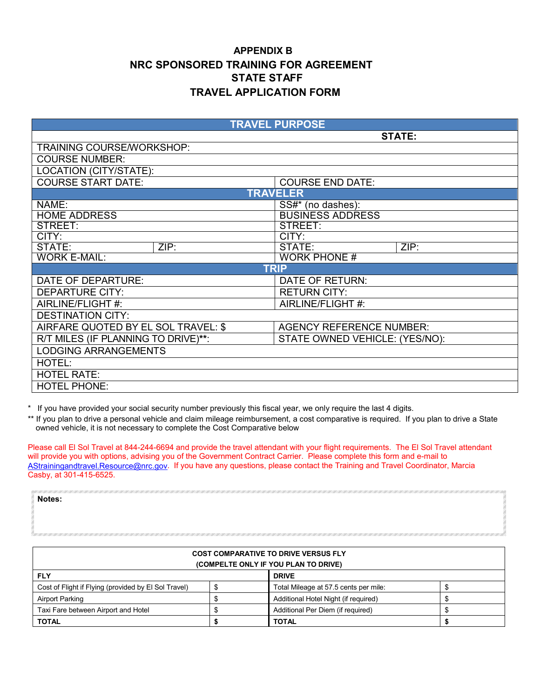## **APPENDIX B NRC SPONSORED TRAINING FOR AGREEMENT STATE STAFF TRAVEL APPLICATION FORM**

|                                     | <b>TRAVEL PURPOSE</b>           |
|-------------------------------------|---------------------------------|
|                                     | <b>STATE:</b>                   |
| TRAINING COURSE/WORKSHOP:           |                                 |
| <b>COURSE NUMBER:</b>               |                                 |
| LOCATION (CITY/STATE):              |                                 |
| <b>COURSE START DATE:</b>           | <b>COURSE END DATE:</b>         |
|                                     | <b>TRAVELER</b>                 |
| NAME:                               | $\overline{SS#}^*$ (no dashes): |
| <b>HOME ADDRESS</b>                 | <b>BUSINESS ADDRESS</b>         |
| STREET:                             | STREET:                         |
| CITY:                               | CITY:                           |
| ZIP:<br>STATE:                      | ZIP:<br>STATE:                  |
| <b>WORK E-MAIL:</b>                 | <b>WORK PHONE #</b>             |
|                                     | <b>TRIP</b>                     |
| DATE OF DEPARTURE:                  | DATE OF RETURN:                 |
| <b>DEPARTURE CITY:</b>              | <b>RETURN CITY:</b>             |
| AIRLINE/FLIGHT #:                   | AIRLINE/FLIGHT#:                |
| <b>DESTINATION CITY:</b>            |                                 |
| AIRFARE QUOTED BY EL SOL TRAVEL: \$ | <b>AGENCY REFERENCE NUMBER:</b> |
| R/T MILES (IF PLANNING TO DRIVE)**: | STATE OWNED VEHICLE: (YES/NO):  |
| <b>LODGING ARRANGEMENTS</b>         |                                 |
| HOTEL:                              |                                 |
| <b>HOTEL RATE:</b>                  |                                 |
| <b>HOTEL PHONE:</b>                 |                                 |

\* If you have provided your social security number previously this fiscal year, we only require the last 4 digits.

**Notes:**

\*\* If you plan to drive a personal vehicle and claim mileage reimbursement, a cost comparative is required. If you plan to drive a State owned vehicle, it is not necessary to complete the Cost Comparative below

Please call El Sol Travel at 844-244-6694 and provide the travel attendant with your flight requirements. The El Sol Travel attendant will provide you with options, advising you of the Government Contract Carrier. Please complete this form and e-mail to AStrainingandtravel.Resource@nrc.gov. If you have any questions, please contact the Training and Travel Coordinator, Marcia Casby, at 301-415-6525.

|                                                      | <b>COST COMPARATIVE TO DRIVE VERSUS FLY</b> |  |
|------------------------------------------------------|---------------------------------------------|--|
|                                                      | (COMPELTE ONLY IF YOU PLAN TO DRIVE)        |  |
| <b>FLY</b>                                           | <b>DRIVE</b>                                |  |
| Cost of Flight if Flying (provided by El Sol Travel) | Total Mileage at 57.5 cents per mile:       |  |
| <b>Airport Parking</b>                               | Additional Hotel Night (if required)        |  |
| Taxi Fare between Airport and Hotel                  | Additional Per Diem (if required)           |  |
| <b>TOTAL</b>                                         | <b>TOTAL</b>                                |  |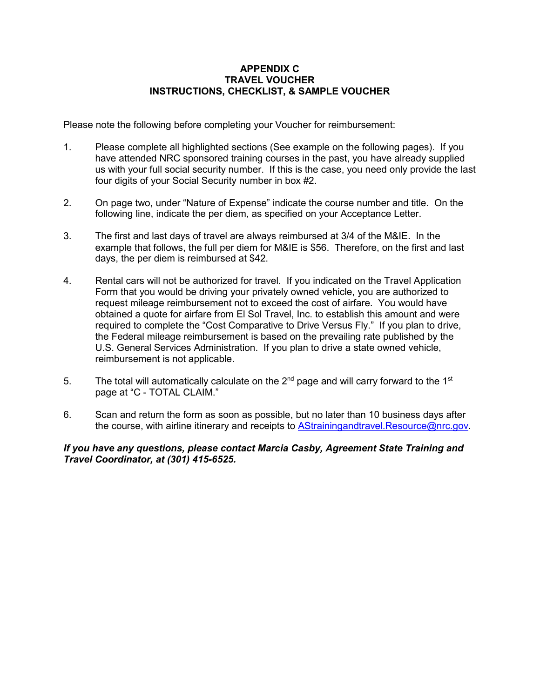#### **APPENDIX C TRAVEL VOUCHER INSTRUCTIONS, CHECKLIST, & SAMPLE VOUCHER**

Please note the following before completing your Voucher for reimbursement:

- 1. Please complete all highlighted sections (See example on the following pages). If you have attended NRC sponsored training courses in the past, you have already supplied us with your full social security number. If this is the case, you need only provide the last four digits of your Social Security number in box #2.
- 2. On page two, under "Nature of Expense" indicate the course number and title. On the following line, indicate the per diem, as specified on your Acceptance Letter.
- 3. The first and last days of travel are always reimbursed at 3/4 of the M&IE. In the example that follows, the full per diem for M&IE is \$56. Therefore, on the first and last days, the per diem is reimbursed at \$42.
- 4. Rental cars will not be authorized for travel. If you indicated on the Travel Application Form that you would be driving your privately owned vehicle, you are authorized to request mileage reimbursement not to exceed the cost of airfare. You would have obtained a quote for airfare from El Sol Travel, Inc. to establish this amount and were required to complete the "Cost Comparative to Drive Versus Fly." If you plan to drive, the Federal mileage reimbursement is based on the prevailing rate published by the U.S. General Services Administration. If you plan to drive a state owned vehicle, reimbursement is not applicable.
- 5. The total will automatically calculate on the  $2^{nd}$  page and will carry forward to the 1<sup>st</sup> page at "C - TOTAL CLAIM."
- 6. Scan and return the form as soon as possible, but no later than 10 business days after the course, with airline itinerary and receipts to AStrainingandtravel.Resource@nrc.gov

#### *If you have any questions, please contact Marcia Casby, Agreement State Training and Travel Coordinator, at (301) 415-6525.*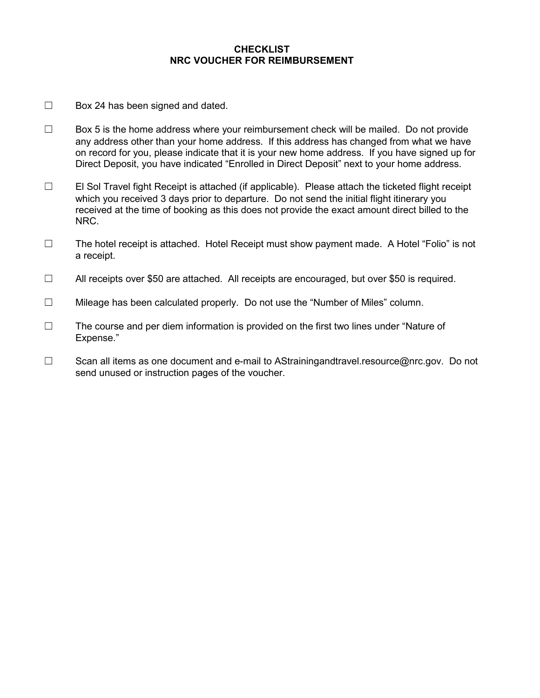#### **CHECKLIST NRC VOUCHER FOR REIMBURSEMENT**

- $\Box$  Box 24 has been signed and dated.
- $\Box$  Box 5 is the home address where your reimbursement check will be mailed. Do not provide any address other than your home address. If this address has changed from what we have on record for you, please indicate that it is your new home address. If you have signed up for Direct Deposit, you have indicated "Enrolled in Direct Deposit" next to your home address.
- ☐ El Sol Travel fight Receipt is attached (if applicable). Please attach the ticketed flight receipt which you received 3 days prior to departure. Do not send the initial flight itinerary you received at the time of booking as this does not provide the exact amount direct billed to the NRC.
- ☐ The hotel receipt is attached. Hotel Receipt must show payment made. A Hotel "Folio" is not a receipt.
- ☐ All receipts over \$50 are attached. All receipts are encouraged, but over \$50 is required.
- ☐ Mileage has been calculated properly. Do not use the "Number of Miles" column.
- $\Box$  The course and per diem information is provided on the first two lines under "Nature of Expense."
- ☐ Scan all items as one document and e-mail to AStrainingandtravel.resource@nrc.gov. Do not send unused or instruction pages of the voucher.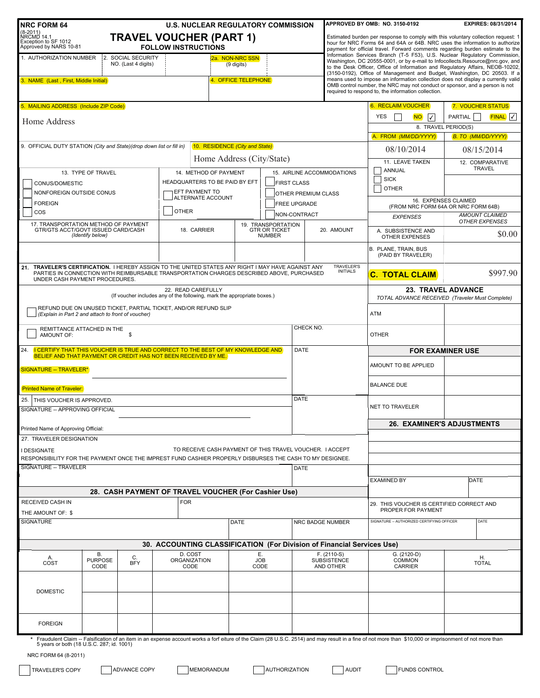| <b>NRC FORM 64</b>                                                                                                                                    |                                           | <b>U.S. NUCLEAR REGULATORY COMMISSION</b>                                                              |                                                      |                                       |                                                  |                                                  | APPROVED BY OMB: NO. 3150-0192                                                                                                                                                                                                                                                                                                                                                                                                                                                                                                                      | EXPIRES: 08/31/2014                                                          |
|-------------------------------------------------------------------------------------------------------------------------------------------------------|-------------------------------------------|--------------------------------------------------------------------------------------------------------|------------------------------------------------------|---------------------------------------|--------------------------------------------------|--------------------------------------------------|-----------------------------------------------------------------------------------------------------------------------------------------------------------------------------------------------------------------------------------------------------------------------------------------------------------------------------------------------------------------------------------------------------------------------------------------------------------------------------------------------------------------------------------------------------|------------------------------------------------------------------------------|
| $(8-2011)$<br>NRCMD 14.1<br>Exception to SF 1012<br>Approved by NARS 10-81                                                                            |                                           | <b>TRAVEL VOUCHER (PART 1)</b><br><b>FOLLOW INSTRUCTIONS</b>                                           |                                                      |                                       |                                                  |                                                  | Estimated burden per response to comply with this voluntary collection request: 1<br>hour for NRC Forms 64 and 64A or 64B. NRC uses the information to authorize<br>payment for official travel. Forward comments regarding burden estimate to the                                                                                                                                                                                                                                                                                                  |                                                                              |
| 1. AUTHORIZATION NUMBER<br>3. NAME (Last, First, Middle Initial)                                                                                      | 2. SOCIAL SECURITY<br>NO. (Last 4 digits) |                                                                                                        | 2a. NON-NRC SSN<br>(9 digits)<br>4. OFFICE TELEPHONE |                                       |                                                  |                                                  | Information Services Branch (T-5 F53), U.S. Nuclear Regulatory Commission,<br>Washington, DC 20555-0001, or by e-mail to Infocollects.Resource@nrc.gov.and<br>to the Desk Officer, Office of Information and Regulatory Affairs, NEOB-10202,<br>(3150-0192), Office of Management and Budget, Washington, DC 20503. If a<br>means used to impose an information collection does not display a currently valid<br>OMB control number, the NRC may not conduct or sponsor, and a person is not<br>required to respond to, the information collection. |                                                                              |
| 5. MAILING ADDRESS (Include ZIP Code)<br>Home Address                                                                                                 |                                           |                                                                                                        |                                                      |                                       |                                                  |                                                  | <b>6. RECLAIM VOUCHER</b><br><b>YES</b><br>$\overline{\sqrt{ }}$<br><b>NO</b>                                                                                                                                                                                                                                                                                                                                                                                                                                                                       | 7. VOUCHER STATUS<br>PARTIAL<br>FINAL V<br>8. TRAVEL PERIOD(S)               |
|                                                                                                                                                       |                                           |                                                                                                        |                                                      |                                       |                                                  |                                                  | A. FROM (MM/DD/YYYY)                                                                                                                                                                                                                                                                                                                                                                                                                                                                                                                                | <b>B. TO (MM/DD/YYYY)</b>                                                    |
| 9. OFFICIAL DUTY STATION (City and State) (drop down list or fill in)                                                                                 |                                           | 10. RESIDENCE (City and State)<br>Home Address (City/State)                                            |                                                      |                                       |                                                  |                                                  | 08/10/2014                                                                                                                                                                                                                                                                                                                                                                                                                                                                                                                                          | 08/15/2014                                                                   |
| 13. TYPE OF TRAVEL<br>CONUS/DOMESTIC<br>NONFOREIGN OUTSIDE CONUS                                                                                      |                                           | 14. METHOD OF PAYMENT<br>HEADQUARTERS TO BE PAID BY EFT<br>EFT PAYMENT TO<br><b>JALTERNATE ACCOUNT</b> |                                                      |                                       | <b>FIRST CLASS</b><br><b>OTHER PREMIUM CLASS</b> | 15. AIRLINE ACCOMMODATIONS                       | 11. LEAVE TAKEN<br>ANNUAL<br><b>SICK</b><br><b>OTHER</b>                                                                                                                                                                                                                                                                                                                                                                                                                                                                                            | 12. COMPARATIVE<br><b>TRAVEL</b>                                             |
| <b>FOREIGN</b><br>COS                                                                                                                                 |                                           | <b>OTHER</b>                                                                                           |                                                      |                                       | <b>FREE UPGRADE</b>                              |                                                  |                                                                                                                                                                                                                                                                                                                                                                                                                                                                                                                                                     | 16. EXPENSES CLAIMED<br>(FROM NRC FORM 64A OR NRC FORM 64B)                  |
| 17. TRANSPORTATION METHOD OF PAYMENT                                                                                                                  |                                           |                                                                                                        |                                                      | 19. TRANSPORTATION                    | NON-CONTRACT                                     |                                                  | <b>EXPENSES</b>                                                                                                                                                                                                                                                                                                                                                                                                                                                                                                                                     | <b>AMOUNT CLAIMED</b><br><b>OTHER EXPENSES</b>                               |
| GTR/GTS ACCT/GOVT ISSUED CARD/CASH<br>(Identify below)                                                                                                |                                           | 18. CARRIER                                                                                            |                                                      | <b>GTR OR TICKET</b><br><b>NUMBER</b> |                                                  | 20. AMOUNT                                       | A. SUBSISTENCE AND<br><b>OTHER EXPENSES</b>                                                                                                                                                                                                                                                                                                                                                                                                                                                                                                         | \$0.00                                                                       |
|                                                                                                                                                       |                                           |                                                                                                        |                                                      |                                       |                                                  |                                                  | B. PLANE, TRAIN, BUS<br>(PAID BY TRAVELER)                                                                                                                                                                                                                                                                                                                                                                                                                                                                                                          |                                                                              |
| 21. TRAVELER'S CERTIFICATION. I HEREBY ASSIGN TO THE UNITED STATES ANY RIGHT I MAY HAVE AGAINST ANY<br>UNDER CASH PAYMENT PROCEDURES.                 |                                           | PARTIES IN CONNECTION WITH REIMBURSABLE TRANSPORTATION CHARGES DESCRIBED ABOVE, PURCHASED              |                                                      |                                       |                                                  | <b>TRAVELER'S</b><br><b>INITIALS</b>             | <b>C. TOTAL CLAIM</b>                                                                                                                                                                                                                                                                                                                                                                                                                                                                                                                               | \$997.90                                                                     |
|                                                                                                                                                       |                                           | 22. READ CAREFULLY<br>(If voucher includes any of the following, mark the appropriate boxes.)          |                                                      |                                       |                                                  |                                                  |                                                                                                                                                                                                                                                                                                                                                                                                                                                                                                                                                     | <b>23. TRAVEL ADVANCE</b><br>TOTAL ADVANCE RECEIVED (Traveler Must Complete) |
| (Explain in Part 2 and attach to front of voucher)                                                                                                    |                                           | REFUND DUE ON UNUSED TICKET, PARTIAL TICKET, AND/OR REFUND SLIP                                        |                                                      |                                       |                                                  |                                                  | <b>ATM</b>                                                                                                                                                                                                                                                                                                                                                                                                                                                                                                                                          |                                                                              |
| REMITTANCE ATTACHED IN THE<br>AMOUNT OF:                                                                                                              | \$                                        |                                                                                                        |                                                      |                                       | CHECK NO.                                        |                                                  | <b>OTHER</b>                                                                                                                                                                                                                                                                                                                                                                                                                                                                                                                                        |                                                                              |
| 24. I CERTIFY THAT THIS VOUCHER IS TRUE AND CORRECT TO THE BEST OF MY KNOWLEDGE AND<br>BELIEF AND THAT PAYMENT OR CREDIT HAS NOT BEEN RECEIVED BY ME. |                                           |                                                                                                        |                                                      |                                       | <b>DATE</b>                                      |                                                  |                                                                                                                                                                                                                                                                                                                                                                                                                                                                                                                                                     | <b>FOR EXAMINER USE</b>                                                      |
| <b>SIGNATURE -- TRAVELER*</b>                                                                                                                         |                                           |                                                                                                        |                                                      |                                       |                                                  |                                                  | AMOUNT TO BE APPLIED                                                                                                                                                                                                                                                                                                                                                                                                                                                                                                                                |                                                                              |
| <b>Printed Name of Traveler:</b>                                                                                                                      |                                           |                                                                                                        |                                                      |                                       |                                                  |                                                  | <b>BALANCE DUE</b>                                                                                                                                                                                                                                                                                                                                                                                                                                                                                                                                  |                                                                              |
| 25. THIS VOUCHER IS APPROVED.<br>SIGNATURE -- APPROVING OFFICIAL                                                                                      |                                           |                                                                                                        |                                                      |                                       | <b>DATE</b>                                      |                                                  | <b>NET TO TRAVELER</b>                                                                                                                                                                                                                                                                                                                                                                                                                                                                                                                              |                                                                              |
| Printed Name of Approving Official:                                                                                                                   |                                           |                                                                                                        |                                                      |                                       |                                                  |                                                  |                                                                                                                                                                                                                                                                                                                                                                                                                                                                                                                                                     | <b>26. EXAMINER'S ADJUSTMENTS</b>                                            |
| 27. TRAVELER DESIGNATION<br>I DESIGNATE                                                                                                               |                                           | TO RECEIVE CASH PAYMENT OF THIS TRAVEL VOUCHER. I ACCEPT                                               |                                                      |                                       |                                                  |                                                  |                                                                                                                                                                                                                                                                                                                                                                                                                                                                                                                                                     |                                                                              |
| RESPONSIBILITY FOR THE PAYMENT ONCE THE IMPREST FUND CASHIER PROPERLY DISBURSES THE CASH TO MY DESIGNEE.<br><b>SIGNATURE -- TRAVELER</b>              |                                           |                                                                                                        |                                                      |                                       | <b>DATE</b>                                      |                                                  |                                                                                                                                                                                                                                                                                                                                                                                                                                                                                                                                                     |                                                                              |
|                                                                                                                                                       |                                           |                                                                                                        |                                                      |                                       |                                                  |                                                  | <b>EXAMINED BY</b>                                                                                                                                                                                                                                                                                                                                                                                                                                                                                                                                  | <b>DATE</b>                                                                  |
|                                                                                                                                                       |                                           | 28. CASH PAYMENT OF TRAVEL VOUCHER (For Cashier Use)                                                   |                                                      |                                       |                                                  |                                                  |                                                                                                                                                                                                                                                                                                                                                                                                                                                                                                                                                     |                                                                              |
| RECEIVED CASH IN<br>THE AMOUNT OF: \$                                                                                                                 |                                           | <b>FOR</b>                                                                                             |                                                      |                                       |                                                  |                                                  | 29. THIS VOUCHER IS CERTIFIED CORRECT AND<br>PROPER FOR PAYMENT                                                                                                                                                                                                                                                                                                                                                                                                                                                                                     |                                                                              |
| <b>SIGNATURE</b>                                                                                                                                      |                                           |                                                                                                        | DATE                                                 |                                       |                                                  | NRC BADGE NUMBER                                 | SIGNATURE -- AUTHORIZED CERTIFYING OFFICER                                                                                                                                                                                                                                                                                                                                                                                                                                                                                                          | DATE                                                                         |
|                                                                                                                                                       |                                           | 30. ACCOUNTING CLASSIFICATION (For Division of Financial Services Use)                                 |                                                      |                                       |                                                  |                                                  |                                                                                                                                                                                                                                                                                                                                                                                                                                                                                                                                                     |                                                                              |
| <b>B.</b><br>Α.<br><b>PURPOSE</b><br>COST<br>CODE                                                                                                     | C.<br><b>BFY</b>                          | D. COST<br><b>ORGANIZATION</b><br>CODE                                                                 | Е.<br><b>JOB</b><br>CODE                             |                                       |                                                  | $F. (2110-S)$<br><b>SUBSISTENCE</b><br>AND OTHER | G. (2120-D)<br>COMMON<br><b>CARRIER</b>                                                                                                                                                                                                                                                                                                                                                                                                                                                                                                             | Η.<br><b>TOTAL</b>                                                           |
| <b>DOMESTIC</b>                                                                                                                                       |                                           |                                                                                                        |                                                      |                                       |                                                  |                                                  |                                                                                                                                                                                                                                                                                                                                                                                                                                                                                                                                                     |                                                                              |
| <b>FOREIGN</b>                                                                                                                                        |                                           |                                                                                                        |                                                      |                                       |                                                  |                                                  |                                                                                                                                                                                                                                                                                                                                                                                                                                                                                                                                                     |                                                                              |
| 5 years or both (18 U.S.C. 287; id. 1001)<br>NRC FORM 64 (8-2011)                                                                                     |                                           |                                                                                                        |                                                      |                                       |                                                  |                                                  | * Fraudulent Claim -- Falsification of an item in an expense account works a forf eiture of the Claim (28 U.S.C. 2514) and may result in a fine of not more than \$10,000 or imprisonment of not more than                                                                                                                                                                                                                                                                                                                                          |                                                                              |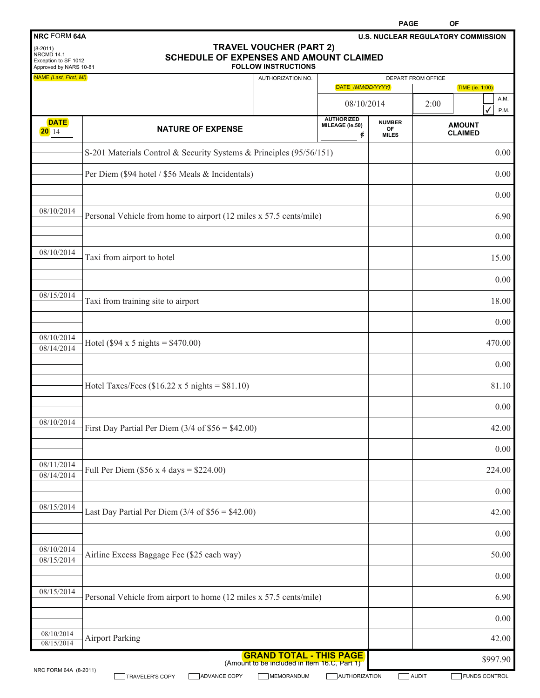|                                                                                                   |                                                                     |                                                                                |                                           | <b>PAGE</b>                         | OF                 |                                           |
|---------------------------------------------------------------------------------------------------|---------------------------------------------------------------------|--------------------------------------------------------------------------------|-------------------------------------------|-------------------------------------|--------------------|-------------------------------------------|
| <b>NRC FORM 64A</b><br>$(8-2011)$<br>NRCMD 14.1<br>Exception to SF 1012<br>Approved by NARS 10-81 | <b>SCHEDULE OF EXPENSES AND AMOUNT CLAIMED</b>                      | <b>TRAVEL VOUCHER (PART 2)</b><br><b>FOLLOW INSTRUCTIONS</b>                   |                                           |                                     |                    | <b>U.S. NUCLEAR REGULATORY COMMISSION</b> |
| NAME (Last, First, MI)                                                                            |                                                                     | AUTHORIZATION NO.                                                              |                                           |                                     | DEPART FROM OFFICE |                                           |
|                                                                                                   |                                                                     |                                                                                | DATE (MM/DD/YYYY)                         |                                     |                    | <b>TIME (ie. 1:00)</b><br>A.M.            |
|                                                                                                   |                                                                     |                                                                                | 08/10/2014                                |                                     | 2:00               | P.M.                                      |
| <b>DATE</b><br>$20$ 14                                                                            | <b>NATURE OF EXPENSE</b>                                            |                                                                                | <b>AUTHORIZED</b><br>MILEAGE (ie.50)<br>¢ | <b>NUMBER</b><br>OF<br><b>MILES</b> |                    | <b>AMOUNT</b><br><b>CLAIMED</b>           |
|                                                                                                   | S-201 Materials Control & Security Systems & Principles (95/56/151) |                                                                                |                                           |                                     |                    | 0.00                                      |
|                                                                                                   | Per Diem (\$94 hotel / \$56 Meals & Incidentals)                    |                                                                                |                                           |                                     |                    | 0.00                                      |
|                                                                                                   |                                                                     |                                                                                |                                           |                                     |                    | 0.00                                      |
| 08/10/2014                                                                                        | Personal Vehicle from home to airport (12 miles x 57.5 cents/mile)  |                                                                                |                                           |                                     |                    | 6.90                                      |
| 08/10/2014                                                                                        | Taxi from airport to hotel                                          |                                                                                |                                           |                                     |                    | 0.00<br>15.00                             |
|                                                                                                   |                                                                     |                                                                                |                                           |                                     |                    | 0.00                                      |
| 08/15/2014                                                                                        | Taxi from training site to airport                                  |                                                                                |                                           |                                     |                    | 18.00                                     |
|                                                                                                   |                                                                     |                                                                                |                                           |                                     |                    | 0.00                                      |
| 08/10/2014<br>08/14/2014                                                                          | Hotel (\$94 x 5 nights = $$470.00$ )                                |                                                                                |                                           |                                     |                    | 470.00                                    |
|                                                                                                   |                                                                     |                                                                                |                                           |                                     |                    | 0.00                                      |
|                                                                                                   | Hotel Taxes/Fees (\$16.22 x 5 nights = $$81.10$ )                   |                                                                                |                                           |                                     |                    | 81.10                                     |
|                                                                                                   |                                                                     |                                                                                |                                           |                                     |                    | 0.00                                      |
| 08/10/2014                                                                                        | First Day Partial Per Diem $(3/4 \text{ of } $56 = $42.00)$         |                                                                                |                                           |                                     |                    | 42.00                                     |
|                                                                                                   |                                                                     |                                                                                |                                           |                                     |                    | 0.00                                      |
| 08/11/2014<br>08/14/2014                                                                          | Full Per Diem $(\$56 x 4 days = \$224.00)$                          |                                                                                |                                           |                                     |                    | 224.00                                    |
|                                                                                                   |                                                                     |                                                                                |                                           |                                     |                    | 0.00                                      |
| 08/15/2014                                                                                        | Last Day Partial Per Diem $(3/4 \text{ of } $56 = $42.00)$          |                                                                                |                                           |                                     |                    | 42.00                                     |
|                                                                                                   |                                                                     |                                                                                |                                           |                                     |                    | 0.00                                      |
| 08/10/2014<br>08/15/2014                                                                          | Airline Excess Baggage Fee (\$25 each way)                          |                                                                                |                                           |                                     |                    | 50.00                                     |
|                                                                                                   |                                                                     |                                                                                |                                           |                                     |                    | 0.00                                      |
| 08/15/2014                                                                                        | Personal Vehicle from airport to home (12 miles x 57.5 cents/mile)  |                                                                                |                                           |                                     |                    | 6.90                                      |
| 08/10/2014                                                                                        |                                                                     |                                                                                |                                           |                                     |                    | 0.00                                      |
| 08/15/2014                                                                                        | <b>Airport Parking</b>                                              |                                                                                |                                           |                                     |                    | 42.00                                     |
| NRC FORM 64A (8-2011)                                                                             |                                                                     | <b>GRAND TOTAL - THIS PAGE</b><br>(Amount to be included in Item 16.C, Part 1) |                                           |                                     |                    | \$997.90                                  |